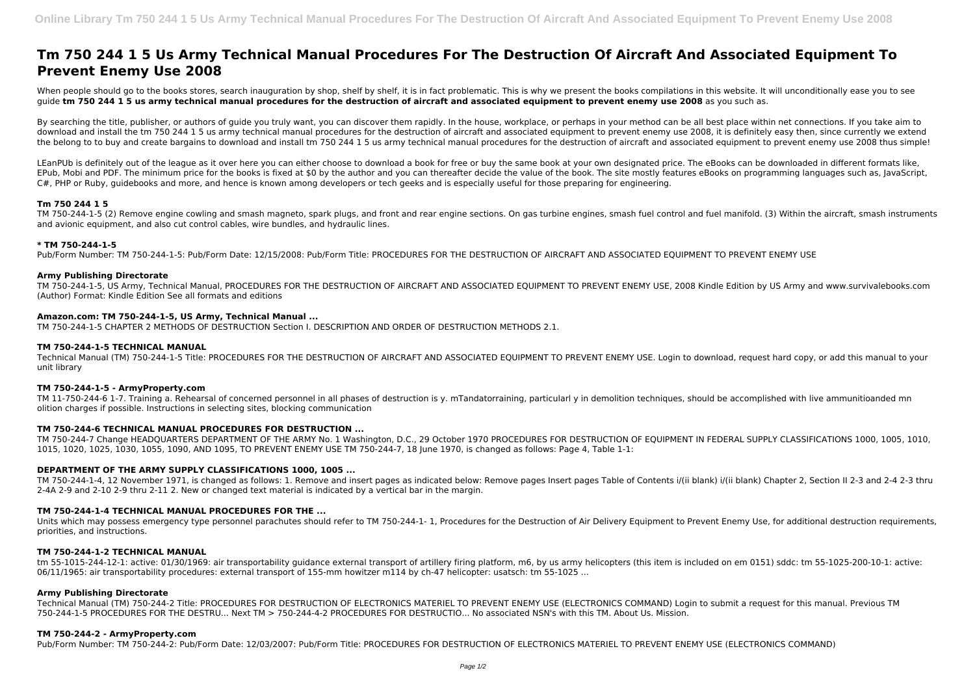# **Tm 750 244 1 5 Us Army Technical Manual Procedures For The Destruction Of Aircraft And Associated Equipment To Prevent Enemy Use 2008**

When people should go to the books stores, search inauguration by shop, shelf by shelf, it is in fact problematic. This is why we present the books compilations in this website. It will unconditionally ease you to see guide **tm 750 244 1 5 us army technical manual procedures for the destruction of aircraft and associated equipment to prevent enemy use 2008** as you such as.

By searching the title, publisher, or authors of quide you truly want, you can discover them rapidly. In the house, workplace, or perhaps in your method can be all best place within net connections. If you take aim to download and install the tm 750 244 1 5 us army technical manual procedures for the destruction of aircraft and associated equipment to prevent enemy use 2008, it is definitely easy then, since currently we extend the belong to to buy and create bargains to download and install tm 750 244 1 5 us army technical manual procedures for the destruction of aircraft and associated equipment to prevent enemy use 2008 thus simple!

LEanPUb is definitely out of the league as it over here you can either choose to download a book for free or buy the same book at your own designated price. The eBooks can be downloaded in different formats like, EPub, Mobi and PDF. The minimum price for the books is fixed at \$0 by the author and you can thereafter decide the value of the book. The site mostly features eBooks on programming languages such as, JavaScript, C#, PHP or Ruby, guidebooks and more, and hence is known among developers or tech geeks and is especially useful for those preparing for engineering.

# **Tm 750 244 1 5**

TM 750-244-1-5 (2) Remove engine cowling and smash magneto, spark plugs, and front and rear engine sections. On gas turbine engines, smash fuel control and fuel manifold. (3) Within the aircraft, smash instruments and avionic equipment, and also cut control cables, wire bundles, and hydraulic lines.

### **\* TM 750-244-1-5**

Units which may possess emergency type personnel parachutes should refer to TM 750-244-1-1, Procedures for the Destruction of Air Delivery Equipment to Prevent Enemy Use, for additional destruction requirements, priorities, and instructions.

Pub/Form Number: TM 750-244-1-5: Pub/Form Date: 12/15/2008: Pub/Form Title: PROCEDURES FOR THE DESTRUCTION OF AIRCRAFT AND ASSOCIATED EQUIPMENT TO PREVENT ENEMY USE

# **Army Publishing Directorate**

TM 750-244-1-5, US Army, Technical Manual, PROCEDURES FOR THE DESTRUCTION OF AIRCRAFT AND ASSOCIATED EQUIPMENT TO PREVENT ENEMY USE, 2008 Kindle Edition by US Army and www.survivalebooks.com (Author) Format: Kindle Edition See all formats and editions

### **Amazon.com: TM 750-244-1-5, US Army, Technical Manual ...**

TM 750-244-1-5 CHAPTER 2 METHODS OF DESTRUCTION Section I. DESCRIPTION AND ORDER OF DESTRUCTION METHODS 2.1.

#### **TM 750-244-1-5 TECHNICAL MANUAL**

Technical Manual (TM) 750-244-1-5 Title: PROCEDURES FOR THE DESTRUCTION OF AIRCRAFT AND ASSOCIATED EQUIPMENT TO PREVENT ENEMY USE. Login to download, request hard copy, or add this manual to your unit library

# **TM 750-244-1-5 - ArmyProperty.com**

TM 11-750-244-6 1-7. Training a. Rehearsal of concerned personnel in all phases of destruction is y. mTandatorraining, particularl y in demolition techniques, should be accomplished with live ammunitioanded mn olition charges if possible. Instructions in selecting sites, blocking communication

# **TM 750-244-6 TECHNICAL MANUAL PROCEDURES FOR DESTRUCTION ...**

TM 750-244-7 Change HEADQUARTERS DEPARTMENT OF THE ARMY No. 1 Washington, D.C., 29 October 1970 PROCEDURES FOR DESTRUCTION OF EQUIPMENT IN FEDERAL SUPPLY CLASSIFICATIONS 1000, 1005, 1010, 1015, 1020, 1025, 1030, 1055, 1090, AND 1095, TO PREVENT ENEMY USE TM 750-244-7, 18 June 1970, is changed as follows: Page 4, Table 1-1:

# **DEPARTMENT OF THE ARMY SUPPLY CLASSIFICATIONS 1000, 1005 ...**

TM 750-244-1-4, 12 November 1971, is changed as follows: 1. Remove and insert pages as indicated below: Remove pages Insert pages Table of Contents i/(ii blank) i/(ii blank) Chapter 2, Section II 2-3 and 2-4 2-3 thru 2-4A 2-9 and 2-10 2-9 thru 2-11 2. New or changed text material is indicated by a vertical bar in the margin.

# **TM 750-244-1-4 TECHNICAL MANUAL PROCEDURES FOR THE ...**

# **TM 750-244-1-2 TECHNICAL MANUAL**

tm 55-1015-244-12-1: active: 01/30/1969: air transportability guidance external transport of artillery firing platform, m6, by us army helicopters (this item is included on em 0151) sddc: tm 55-1025-200-10-1: active: 06/11/1965: air transportability procedures: external transport of 155-mm howitzer m114 by ch-47 helicopter: usatsch: tm 55-1025 ...

#### **Army Publishing Directorate**

Technical Manual (TM) 750-244-2 Title: PROCEDURES FOR DESTRUCTION OF ELECTRONICS MATERIEL TO PREVENT ENEMY USE (ELECTRONICS COMMAND) Login to submit a request for this manual. Previous TM 750-244-1-5 PROCEDURES FOR THE DESTRU... Next TM > 750-244-4-2 PROCEDURES FOR DESTRUCTIO... No associated NSN's with this TM. About Us. Mission.

# **TM 750-244-2 - ArmyProperty.com**

Pub/Form Number: TM 750-244-2: Pub/Form Date: 12/03/2007: Pub/Form Title: PROCEDURES FOR DESTRUCTION OF ELECTRONICS MATERIEL TO PREVENT ENEMY USE (ELECTRONICS COMMAND)